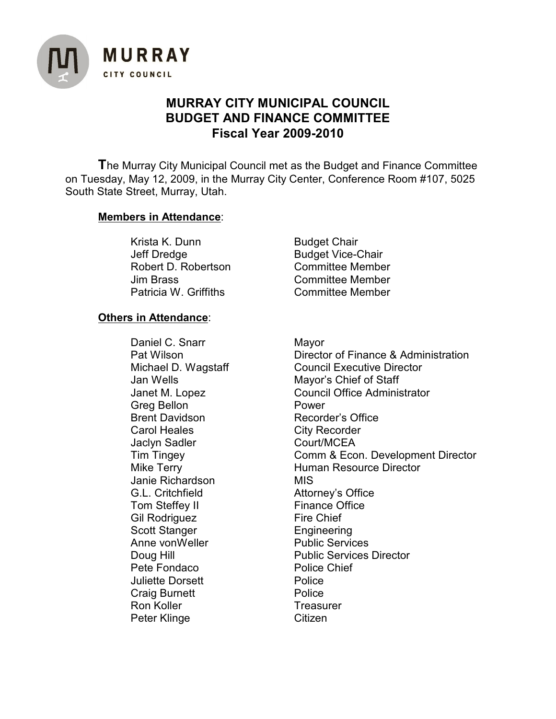

## **MURRAY CITY MUNICIPAL COUNCIL BUDGET AND FINANCE COMMITTEE Fiscal Year 2009-2010**

**T**he Murray City Municipal Council met as the Budget and Finance Committee on Tuesday, May 12, 2009, in the Murray City Center, Conference Room #107, 5025 South State Street, Murray, Utah.

## **Members in Attendance**:

Krista K. Dunn Budget Chair Jeff Dredge Budget Vice-Chair Robert D. Robertson Committee Member Jim Brass Committee Member Patricia W. Griffiths **Committee Member** 

## **Others in Attendance**:

Daniel C. Snarr Mayor Greg Bellon **Power** Brent Davidson Recorder's Office Carol Heales City Recorder Jaclyn Sadler Court/MCEA Janie Richardson MIS G.L. Critchfield **Attorney's Office**<br>
Tom Steffev II Finance Office Tom Steffey II Gil Rodriguez Fire Chief Scott Stanger Engineering Anne vonWeller Public Services Pete Fondaco Police Chief **Juliette Dorsett Police** Craig Burnett **Police** Ron Koller **Treasurer** Treasurer Peter Klinge Citizen

Pat Wilson **Director of Finance & Administration** Michael D. Wagstaff Council Executive Director Jan Wells Mayor's Chief of Staff Janet M. Lopez Council Office Administrator Tim Tingey Comm & Econ. Development Director Mike Terry **Human Resource Director** Doug Hill **Doug Hill** Public Services Director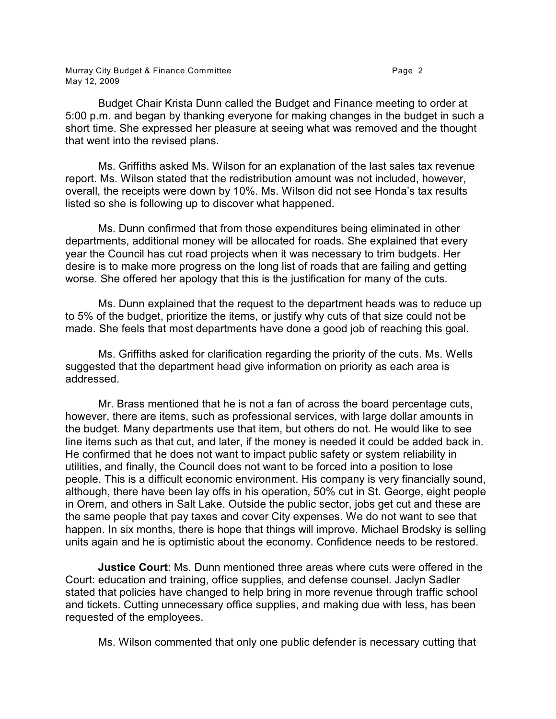Budget Chair Krista Dunn called the Budget and Finance meeting to order at 5:00 p.m. and began by thanking everyone for making changes in the budget in such a short time. She expressed her pleasure at seeing what was removed and the thought that went into the revised plans.

Ms. Griffiths asked Ms. Wilson for an explanation of the last sales tax revenue report. Ms. Wilson stated that the redistribution amount was not included, however, overall, the receipts were down by 10%. Ms. Wilson did not see Honda's tax results listed so she is following up to discover what happened.

Ms. Dunn confirmed that from those expenditures being eliminated in other departments, additional money will be allocated for roads. She explained that every year the Council has cut road projects when it was necessary to trim budgets. Her desire is to make more progress on the long list of roads that are failing and getting worse. She offered her apology that this is the justification for many of the cuts.

Ms. Dunn explained that the request to the department heads was to reduce up to 5% of the budget, prioritize the items, or justify why cuts of that size could not be made. She feels that most departments have done a good job of reaching this goal.

Ms. Griffiths asked for clarification regarding the priority of the cuts. Ms. Wells suggested that the department head give information on priority as each area is addressed.

Mr. Brass mentioned that he is not a fan of across the board percentage cuts, however, there are items, such as professional services, with large dollar amounts in the budget. Many departments use that item, but others do not. He would like to see line items such as that cut, and later, if the money is needed it could be added back in. He confirmed that he does not want to impact public safety or system reliability in utilities, and finally, the Council does not want to be forced into a position to lose people. This is a difficult economic environment. His company is very financially sound, although, there have been lay offs in his operation, 50% cut in St. George, eight people in Orem, and others in Salt Lake. Outside the public sector, jobs get cut and these are the same people that pay taxes and cover City expenses. We do not want to see that happen. In six months, there is hope that things will improve. Michael Brodsky is selling units again and he is optimistic about the economy. Confidence needs to be restored.

**Justice Court**: Ms. Dunn mentioned three areas where cuts were offered in the Court: education and training, office supplies, and defense counsel. Jaclyn Sadler stated that policies have changed to help bring in more revenue through traffic school and tickets. Cutting unnecessary office supplies, and making due with less, has been requested of the employees.

Ms. Wilson commented that only one public defender is necessary cutting that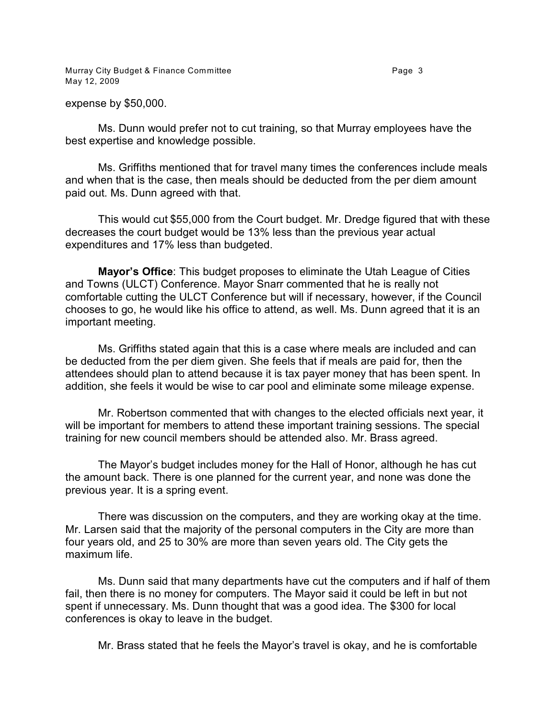Murray City Budget & Finance Committee **Page 3** Page 3 May 12, 2009

expense by \$50,000.

Ms. Dunn would prefer not to cut training, so that Murray employees have the best expertise and knowledge possible.

Ms. Griffiths mentioned that for travel many times the conferences include meals and when that is the case, then meals should be deducted from the per diem amount paid out. Ms. Dunn agreed with that.

This would cut \$55,000 from the Court budget. Mr. Dredge figured that with these decreases the court budget would be 13% less than the previous year actual expenditures and 17% less than budgeted.

**Mayor's Office**: This budget proposes to eliminate the Utah League of Cities and Towns (ULCT) Conference. Mayor Snarr commented that he is really not comfortable cutting the ULCT Conference but will if necessary, however, if the Council chooses to go, he would like his office to attend, as well. Ms. Dunn agreed that it is an important meeting.

Ms. Griffiths stated again that this is a case where meals are included and can be deducted from the per diem given. She feels that if meals are paid for, then the attendees should plan to attend because it is tax payer money that has been spent. In addition, she feels it would be wise to car pool and eliminate some mileage expense.

Mr. Robertson commented that with changes to the elected officials next year, it will be important for members to attend these important training sessions. The special training for new council members should be attended also. Mr. Brass agreed.

The Mayor's budget includes money for the Hall of Honor, although he has cut the amount back. There is one planned for the current year, and none was done the previous year. It is a spring event.

There was discussion on the computers, and they are working okay at the time. Mr. Larsen said that the majority of the personal computers in the City are more than four years old, and 25 to 30% are more than seven years old. The City gets the maximum life.

Ms. Dunn said that many departments have cut the computers and if half of them fail, then there is no money for computers. The Mayor said it could be left in but not spent if unnecessary. Ms. Dunn thought that was a good idea. The \$300 for local conferences is okay to leave in the budget.

Mr. Brass stated that he feels the Mayor's travel is okay, and he is comfortable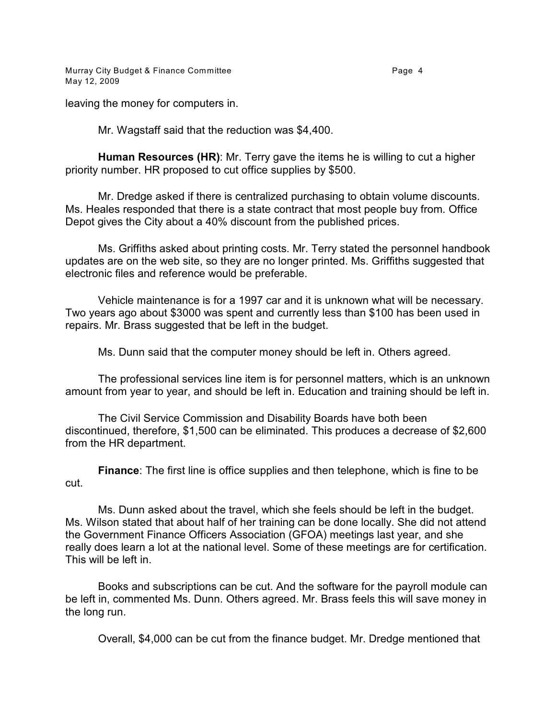Murray City Budget & Finance Committee **Page 4** Page 4 May 12, 2009

leaving the money for computers in.

Mr. Wagstaff said that the reduction was \$4,400.

**Human Resources (HR)**: Mr. Terry gave the items he is willing to cut a higher priority number. HR proposed to cut office supplies by \$500.

Mr. Dredge asked if there is centralized purchasing to obtain volume discounts. Ms. Heales responded that there is a state contract that most people buy from. Office Depot gives the City about a 40% discount from the published prices.

Ms. Griffiths asked about printing costs. Mr. Terry stated the personnel handbook updates are on the web site, so they are no longer printed. Ms. Griffiths suggested that electronic files and reference would be preferable.

Vehicle maintenance is for a 1997 car and it is unknown what will be necessary. Two years ago about \$3000 was spent and currently less than \$100 has been used in repairs. Mr. Brass suggested that be left in the budget.

Ms. Dunn said that the computer money should be left in. Others agreed.

The professional services line item is for personnel matters, which is an unknown amount from year to year, and should be left in. Education and training should be left in.

The Civil Service Commission and Disability Boards have both been discontinued, therefore, \$1,500 can be eliminated. This produces a decrease of \$2,600 from the HR department.

**Finance**: The first line is office supplies and then telephone, which is fine to be cut.

Ms. Dunn asked about the travel, which she feels should be left in the budget. Ms. Wilson stated that about half of her training can be done locally. She did not attend the Government Finance Officers Association (GFOA) meetings last year, and she really does learn a lot at the national level. Some of these meetings are for certification. This will be left in.

Books and subscriptions can be cut. And the software for the payroll module can be left in, commented Ms. Dunn. Others agreed. Mr. Brass feels this will save money in the long run.

Overall, \$4,000 can be cut from the finance budget. Mr. Dredge mentioned that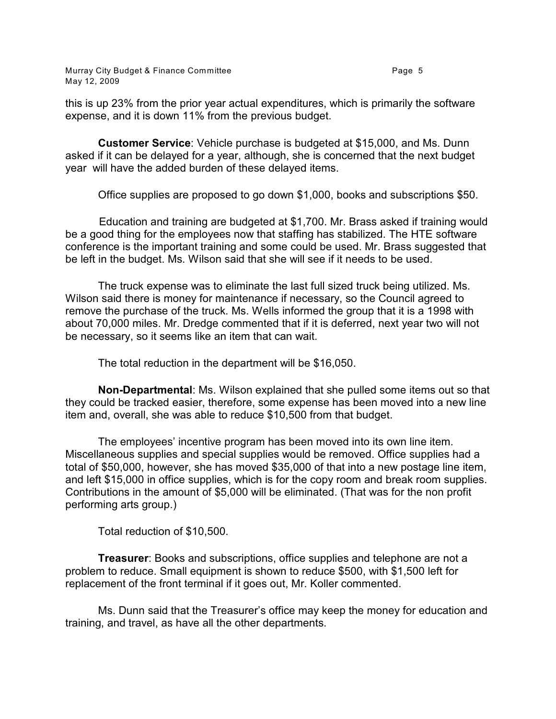Murray City Budget & Finance Committee **Page 1** Page 5 May 12, 2009

this is up 23% from the prior year actual expenditures, which is primarily the software expense, and it is down 11% from the previous budget.

**Customer Service**: Vehicle purchase is budgeted at \$15,000, and Ms. Dunn asked if it can be delayed for a year, although, she is concerned that the next budget year will have the added burden of these delayed items.

Office supplies are proposed to go down \$1,000, books and subscriptions \$50.

 Education and training are budgeted at \$1,700. Mr. Brass asked if training would be a good thing for the employees now that staffing has stabilized. The HTE software conference is the important training and some could be used. Mr. Brass suggested that be left in the budget. Ms. Wilson said that she will see if it needs to be used.

The truck expense was to eliminate the last full sized truck being utilized. Ms. Wilson said there is money for maintenance if necessary, so the Council agreed to remove the purchase of the truck. Ms. Wells informed the group that it is a 1998 with about 70,000 miles. Mr. Dredge commented that if it is deferred, next year two will not be necessary, so it seems like an item that can wait.

The total reduction in the department will be \$16,050.

**Non-Departmental**: Ms. Wilson explained that she pulled some items out so that they could be tracked easier, therefore, some expense has been moved into a new line item and, overall, she was able to reduce \$10,500 from that budget.

The employees' incentive program has been moved into its own line item. Miscellaneous supplies and special supplies would be removed. Office supplies had a total of \$50,000, however, she has moved \$35,000 of that into a new postage line item, and left \$15,000 in office supplies, which is for the copy room and break room supplies. Contributions in the amount of \$5,000 will be eliminated. (That was for the non profit performing arts group.)

Total reduction of \$10,500.

**Treasurer**: Books and subscriptions, office supplies and telephone are not a problem to reduce. Small equipment is shown to reduce \$500, with \$1,500 left for replacement of the front terminal if it goes out, Mr. Koller commented.

Ms. Dunn said that the Treasurer's office may keep the money for education and training, and travel, as have all the other departments.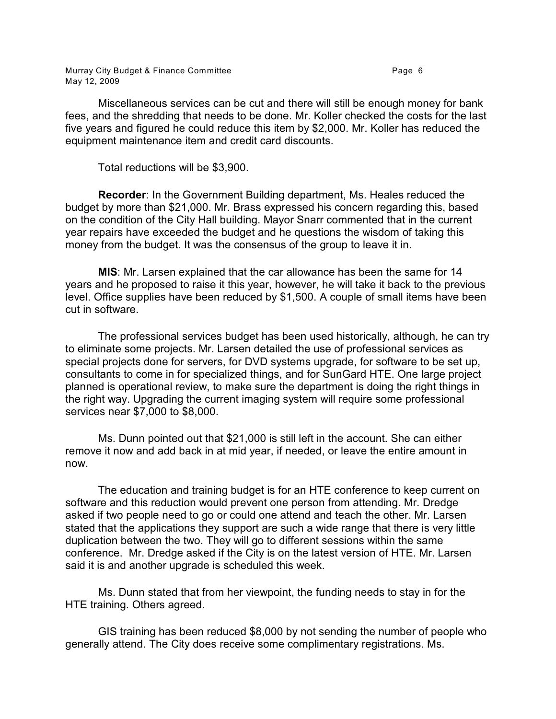Murray City Budget & Finance Committee **Page 1** 2012 1 2014 1 2019 1 2019 1 2019 1 2019 1 2019 1 2019 1 2019 1 20 May 12, 2009

Miscellaneous services can be cut and there will still be enough money for bank fees, and the shredding that needs to be done. Mr. Koller checked the costs for the last five years and figured he could reduce this item by \$2,000. Mr. Koller has reduced the equipment maintenance item and credit card discounts.

Total reductions will be \$3,900.

**Recorder**: In the Government Building department, Ms. Heales reduced the budget by more than \$21,000. Mr. Brass expressed his concern regarding this, based on the condition of the City Hall building. Mayor Snarr commented that in the current year repairs have exceeded the budget and he questions the wisdom of taking this money from the budget. It was the consensus of the group to leave it in.

**MIS**: Mr. Larsen explained that the car allowance has been the same for 14 years and he proposed to raise it this year, however, he will take it back to the previous level. Office supplies have been reduced by \$1,500. A couple of small items have been cut in software.

The professional services budget has been used historically, although, he can try to eliminate some projects. Mr. Larsen detailed the use of professional services as special projects done for servers, for DVD systems upgrade, for software to be set up, consultants to come in for specialized things, and for SunGard HTE. One large project planned is operational review, to make sure the department is doing the right things in the right way. Upgrading the current imaging system will require some professional services near \$7,000 to \$8,000.

Ms. Dunn pointed out that \$21,000 is still left in the account. She can either remove it now and add back in at mid year, if needed, or leave the entire amount in now.

The education and training budget is for an HTE conference to keep current on software and this reduction would prevent one person from attending. Mr. Dredge asked if two people need to go or could one attend and teach the other. Mr. Larsen stated that the applications they support are such a wide range that there is very little duplication between the two. They will go to different sessions within the same conference. Mr. Dredge asked if the City is on the latest version of HTE. Mr. Larsen said it is and another upgrade is scheduled this week.

Ms. Dunn stated that from her viewpoint, the funding needs to stay in for the HTE training. Others agreed.

GIS training has been reduced \$8,000 by not sending the number of people who generally attend. The City does receive some complimentary registrations. Ms.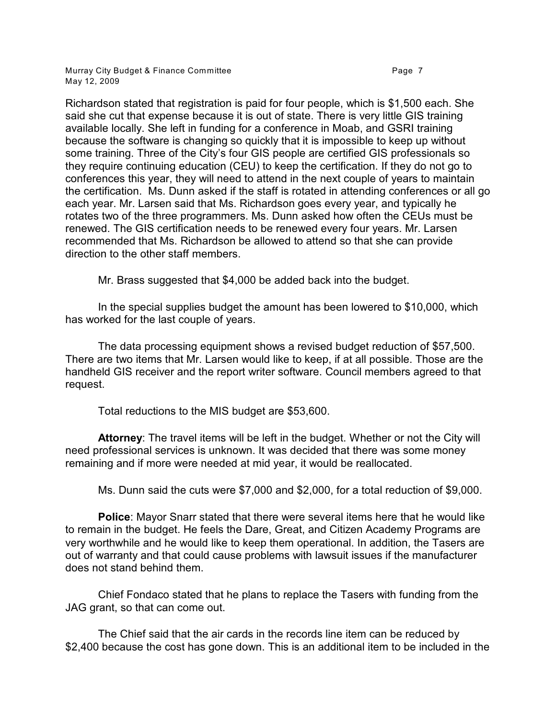Murray City Budget & Finance Committee **Page 7** and the Page 7 May 12, 2009

Richardson stated that registration is paid for four people, which is \$1,500 each. She said she cut that expense because it is out of state. There is very little GIS training available locally. She left in funding for a conference in Moab, and GSRI training because the software is changing so quickly that it is impossible to keep up without some training. Three of the City's four GIS people are certified GIS professionals so they require continuing education (CEU) to keep the certification. If they do not go to conferences this year, they will need to attend in the next couple of years to maintain the certification. Ms. Dunn asked if the staff is rotated in attending conferences or all go each year. Mr. Larsen said that Ms. Richardson goes every year, and typically he rotates two of the three programmers. Ms. Dunn asked how often the CEUs must be renewed. The GIS certification needs to be renewed every four years. Mr. Larsen recommended that Ms. Richardson be allowed to attend so that she can provide direction to the other staff members.

Mr. Brass suggested that \$4,000 be added back into the budget.

In the special supplies budget the amount has been lowered to \$10,000, which has worked for the last couple of years.

The data processing equipment shows a revised budget reduction of \$57,500. There are two items that Mr. Larsen would like to keep, if at all possible. Those are the handheld GIS receiver and the report writer software. Council members agreed to that request.

Total reductions to the MIS budget are \$53,600.

**Attorney**: The travel items will be left in the budget. Whether or not the City will need professional services is unknown. It was decided that there was some money remaining and if more were needed at mid year, it would be reallocated.

Ms. Dunn said the cuts were \$7,000 and \$2,000, for a total reduction of \$9,000.

**Police**: Mayor Snarr stated that there were several items here that he would like to remain in the budget. He feels the Dare, Great, and Citizen Academy Programs are very worthwhile and he would like to keep them operational. In addition, the Tasers are out of warranty and that could cause problems with lawsuit issues if the manufacturer does not stand behind them.

Chief Fondaco stated that he plans to replace the Tasers with funding from the JAG grant, so that can come out.

The Chief said that the air cards in the records line item can be reduced by \$2,400 because the cost has gone down. This is an additional item to be included in the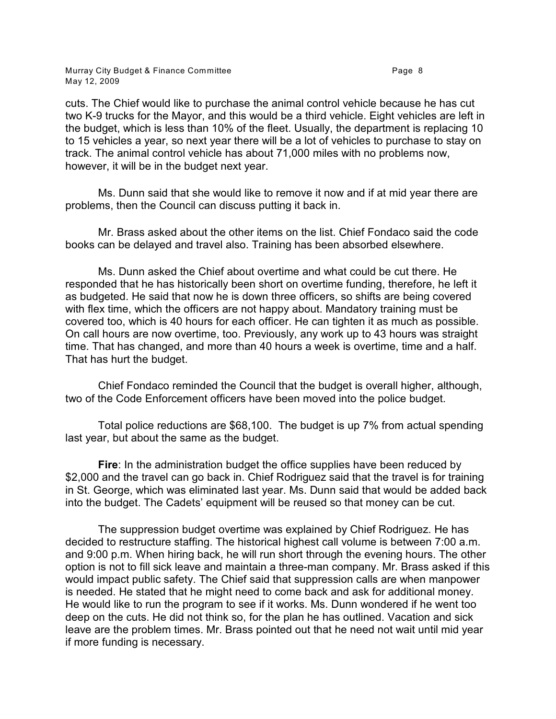Murray City Budget & Finance Committee **Page 1** 2012 1 2014 1 2019 1 2019 1 2019 1 2019 1 2019 1 2019 1 2019 1 20 May 12, 2009

cuts. The Chief would like to purchase the animal control vehicle because he has cut two K-9 trucks for the Mayor, and this would be a third vehicle. Eight vehicles are left in the budget, which is less than 10% of the fleet. Usually, the department is replacing 10 to 15 vehicles a year, so next year there will be a lot of vehicles to purchase to stay on track. The animal control vehicle has about 71,000 miles with no problems now, however, it will be in the budget next year.

Ms. Dunn said that she would like to remove it now and if at mid year there are problems, then the Council can discuss putting it back in.

Mr. Brass asked about the other items on the list. Chief Fondaco said the code books can be delayed and travel also. Training has been absorbed elsewhere.

Ms. Dunn asked the Chief about overtime and what could be cut there. He responded that he has historically been short on overtime funding, therefore, he left it as budgeted. He said that now he is down three officers, so shifts are being covered with flex time, which the officers are not happy about. Mandatory training must be covered too, which is 40 hours for each officer. He can tighten it as much as possible. On call hours are now overtime, too. Previously, any work up to 43 hours was straight time. That has changed, and more than 40 hours a week is overtime, time and a half. That has hurt the budget.

Chief Fondaco reminded the Council that the budget is overall higher, although, two of the Code Enforcement officers have been moved into the police budget.

Total police reductions are \$68,100. The budget is up 7% from actual spending last year, but about the same as the budget.

**Fire**: In the administration budget the office supplies have been reduced by \$2,000 and the travel can go back in. Chief Rodriguez said that the travel is for training in St. George, which was eliminated last year. Ms. Dunn said that would be added back into the budget. The Cadets' equipment will be reused so that money can be cut.

The suppression budget overtime was explained by Chief Rodriguez. He has decided to restructure staffing. The historical highest call volume is between 7:00 a.m. and 9:00 p.m. When hiring back, he will run short through the evening hours. The other option is not to fill sick leave and maintain a three-man company. Mr. Brass asked if this would impact public safety. The Chief said that suppression calls are when manpower is needed. He stated that he might need to come back and ask for additional money. He would like to run the program to see if it works. Ms. Dunn wondered if he went too deep on the cuts. He did not think so, for the plan he has outlined. Vacation and sick leave are the problem times. Mr. Brass pointed out that he need not wait until mid year if more funding is necessary.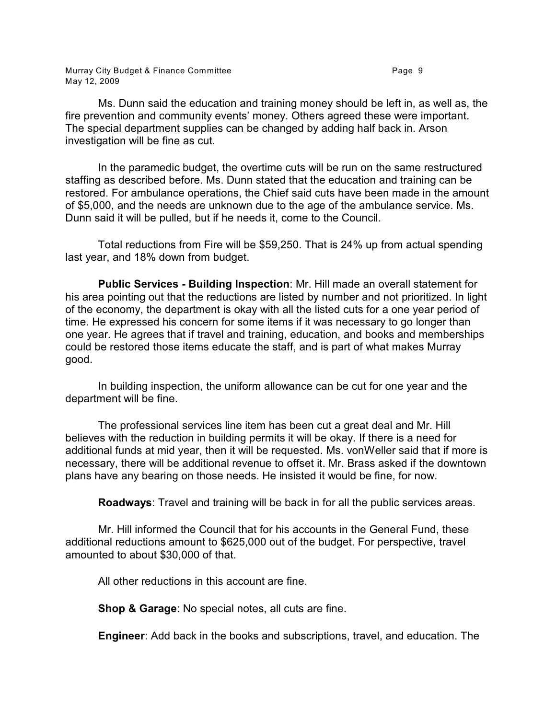Murray City Budget & Finance Committee **Page 9** Page 9 May 12, 2009

Ms. Dunn said the education and training money should be left in, as well as, the fire prevention and community events' money. Others agreed these were important. The special department supplies can be changed by adding half back in. Arson investigation will be fine as cut.

In the paramedic budget, the overtime cuts will be run on the same restructured staffing as described before. Ms. Dunn stated that the education and training can be restored. For ambulance operations, the Chief said cuts have been made in the amount of \$5,000, and the needs are unknown due to the age of the ambulance service. Ms. Dunn said it will be pulled, but if he needs it, come to the Council.

Total reductions from Fire will be \$59,250. That is 24% up from actual spending last year, and 18% down from budget.

**Public Services - Building Inspection**: Mr. Hill made an overall statement for his area pointing out that the reductions are listed by number and not prioritized. In light of the economy, the department is okay with all the listed cuts for a one year period of time. He expressed his concern for some items if it was necessary to go longer than one year. He agrees that if travel and training, education, and books and memberships could be restored those items educate the staff, and is part of what makes Murray good.

In building inspection, the uniform allowance can be cut for one year and the department will be fine.

The professional services line item has been cut a great deal and Mr. Hill believes with the reduction in building permits it will be okay. If there is a need for additional funds at mid year, then it will be requested. Ms. vonWeller said that if more is necessary, there will be additional revenue to offset it. Mr. Brass asked if the downtown plans have any bearing on those needs. He insisted it would be fine, for now.

**Roadways**: Travel and training will be back in for all the public services areas.

Mr. Hill informed the Council that for his accounts in the General Fund, these additional reductions amount to \$625,000 out of the budget. For perspective, travel amounted to about \$30,000 of that.

All other reductions in this account are fine.

**Shop & Garage**: No special notes, all cuts are fine.

**Engineer**: Add back in the books and subscriptions, travel, and education. The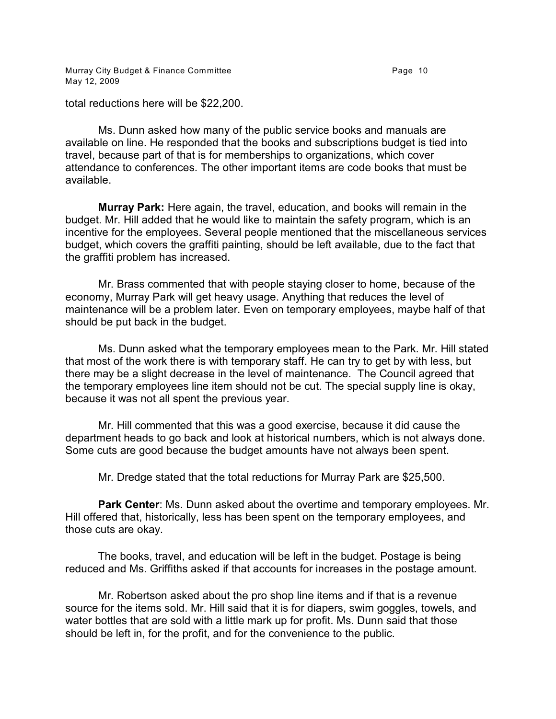Murray City Budget & Finance Committee **Page 10** Page 10 May 12, 2009

total reductions here will be \$22,200.

Ms. Dunn asked how many of the public service books and manuals are available on line. He responded that the books and subscriptions budget is tied into travel, because part of that is for memberships to organizations, which cover attendance to conferences. The other important items are code books that must be available.

**Murray Park:** Here again, the travel, education, and books will remain in the budget. Mr. Hill added that he would like to maintain the safety program, which is an incentive for the employees. Several people mentioned that the miscellaneous services budget, which covers the graffiti painting, should be left available, due to the fact that the graffiti problem has increased.

Mr. Brass commented that with people staying closer to home, because of the economy, Murray Park will get heavy usage. Anything that reduces the level of maintenance will be a problem later. Even on temporary employees, maybe half of that should be put back in the budget.

Ms. Dunn asked what the temporary employees mean to the Park. Mr. Hill stated that most of the work there is with temporary staff. He can try to get by with less, but there may be a slight decrease in the level of maintenance. The Council agreed that the temporary employees line item should not be cut. The special supply line is okay, because it was not all spent the previous year.

Mr. Hill commented that this was a good exercise, because it did cause the department heads to go back and look at historical numbers, which is not always done. Some cuts are good because the budget amounts have not always been spent.

Mr. Dredge stated that the total reductions for Murray Park are \$25,500.

**Park Center**: Ms. Dunn asked about the overtime and temporary employees. Mr. Hill offered that, historically, less has been spent on the temporary employees, and those cuts are okay.

The books, travel, and education will be left in the budget. Postage is being reduced and Ms. Griffiths asked if that accounts for increases in the postage amount.

Mr. Robertson asked about the pro shop line items and if that is a revenue source for the items sold. Mr. Hill said that it is for diapers, swim goggles, towels, and water bottles that are sold with a little mark up for profit. Ms. Dunn said that those should be left in, for the profit, and for the convenience to the public.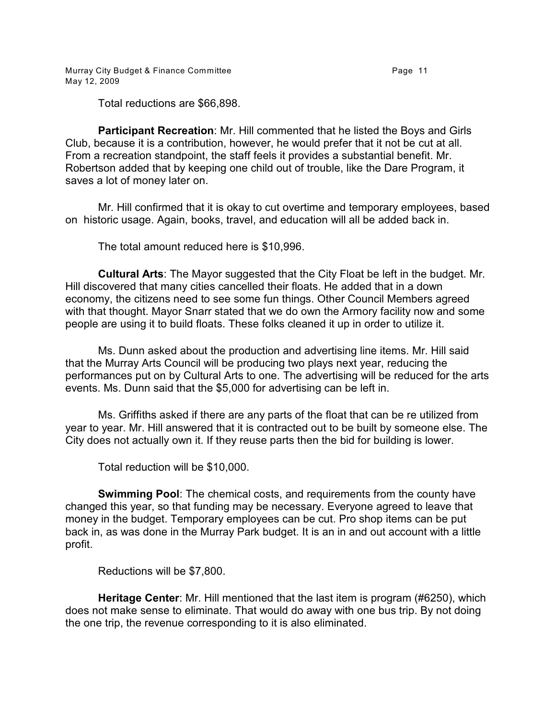Murray City Budget & Finance Committee **Page 11 Page 11** May 12, 2009

Total reductions are \$66,898.

**Participant Recreation**: Mr. Hill commented that he listed the Boys and Girls Club, because it is a contribution, however, he would prefer that it not be cut at all. From a recreation standpoint, the staff feels it provides a substantial benefit. Mr. Robertson added that by keeping one child out of trouble, like the Dare Program, it saves a lot of money later on.

Mr. Hill confirmed that it is okay to cut overtime and temporary employees, based on historic usage. Again, books, travel, and education will all be added back in.

The total amount reduced here is \$10,996.

**Cultural Arts**: The Mayor suggested that the City Float be left in the budget. Mr. Hill discovered that many cities cancelled their floats. He added that in a down economy, the citizens need to see some fun things. Other Council Members agreed with that thought. Mayor Snarr stated that we do own the Armory facility now and some people are using it to build floats. These folks cleaned it up in order to utilize it.

Ms. Dunn asked about the production and advertising line items. Mr. Hill said that the Murray Arts Council will be producing two plays next year, reducing the performances put on by Cultural Arts to one. The advertising will be reduced for the arts events. Ms. Dunn said that the \$5,000 for advertising can be left in.

Ms. Griffiths asked if there are any parts of the float that can be re utilized from year to year. Mr. Hill answered that it is contracted out to be built by someone else. The City does not actually own it. If they reuse parts then the bid for building is lower.

Total reduction will be \$10,000.

**Swimming Pool**: The chemical costs, and requirements from the county have changed this year, so that funding may be necessary. Everyone agreed to leave that money in the budget. Temporary employees can be cut. Pro shop items can be put back in, as was done in the Murray Park budget. It is an in and out account with a little profit.

Reductions will be \$7,800.

**Heritage Center**: Mr. Hill mentioned that the last item is program (#6250), which does not make sense to eliminate. That would do away with one bus trip. By not doing the one trip, the revenue corresponding to it is also eliminated.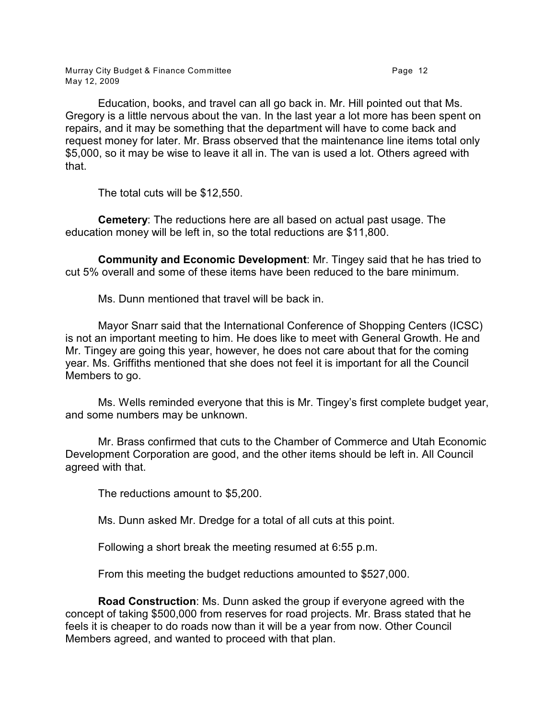Murray City Budget & Finance Committee **Page 12** Page 12 May 12, 2009

Education, books, and travel can all go back in. Mr. Hill pointed out that Ms. Gregory is a little nervous about the van. In the last year a lot more has been spent on repairs, and it may be something that the department will have to come back and request money for later. Mr. Brass observed that the maintenance line items total only \$5,000, so it may be wise to leave it all in. The van is used a lot. Others agreed with that.

The total cuts will be \$12,550.

**Cemetery**: The reductions here are all based on actual past usage. The education money will be left in, so the total reductions are \$11,800.

**Community and Economic Development**: Mr. Tingey said that he has tried to cut 5% overall and some of these items have been reduced to the bare minimum.

Ms. Dunn mentioned that travel will be back in.

Mayor Snarr said that the International Conference of Shopping Centers (ICSC) is not an important meeting to him. He does like to meet with General Growth. He and Mr. Tingey are going this year, however, he does not care about that for the coming year. Ms. Griffiths mentioned that she does not feel it is important for all the Council Members to go.

Ms. Wells reminded everyone that this is Mr. Tingey's first complete budget year, and some numbers may be unknown.

Mr. Brass confirmed that cuts to the Chamber of Commerce and Utah Economic Development Corporation are good, and the other items should be left in. All Council agreed with that.

The reductions amount to \$5,200.

Ms. Dunn asked Mr. Dredge for a total of all cuts at this point.

Following a short break the meeting resumed at 6:55 p.m.

From this meeting the budget reductions amounted to \$527,000.

**Road Construction**: Ms. Dunn asked the group if everyone agreed with the concept of taking \$500,000 from reserves for road projects. Mr. Brass stated that he feels it is cheaper to do roads now than it will be a year from now. Other Council Members agreed, and wanted to proceed with that plan.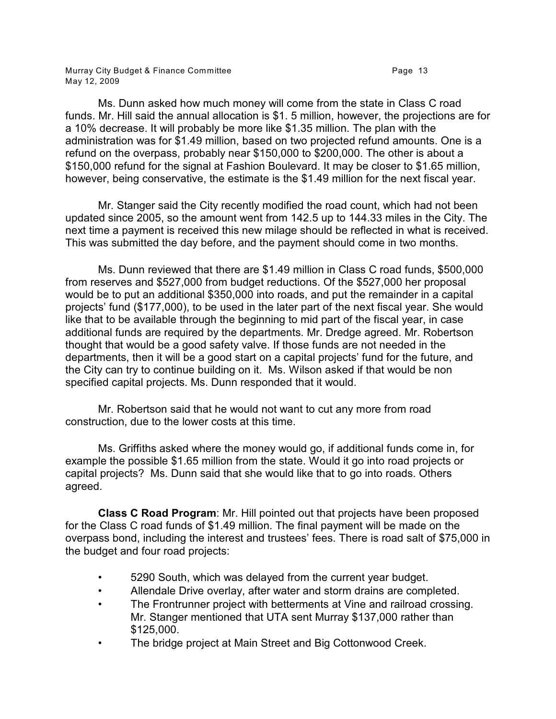Ms. Dunn asked how much money will come from the state in Class C road funds. Mr. Hill said the annual allocation is \$1. 5 million, however, the projections are for a 10% decrease. It will probably be more like \$1.35 million. The plan with the administration was for \$1.49 million, based on two projected refund amounts. One is a refund on the overpass, probably near \$150,000 to \$200,000. The other is about a \$150,000 refund for the signal at Fashion Boulevard. It may be closer to \$1.65 million, however, being conservative, the estimate is the \$1.49 million for the next fiscal year.

Mr. Stanger said the City recently modified the road count, which had not been updated since 2005, so the amount went from 142.5 up to 144.33 miles in the City. The next time a payment is received this new milage should be reflected in what is received. This was submitted the day before, and the payment should come in two months.

Ms. Dunn reviewed that there are \$1.49 million in Class C road funds, \$500,000 from reserves and \$527,000 from budget reductions. Of the \$527,000 her proposal would be to put an additional \$350,000 into roads, and put the remainder in a capital projects' fund (\$177,000), to be used in the later part of the next fiscal year. She would like that to be available through the beginning to mid part of the fiscal year, in case additional funds are required by the departments. Mr. Dredge agreed. Mr. Robertson thought that would be a good safety valve. If those funds are not needed in the departments, then it will be a good start on a capital projects' fund for the future, and the City can try to continue building on it. Ms. Wilson asked if that would be non specified capital projects. Ms. Dunn responded that it would.

Mr. Robertson said that he would not want to cut any more from road construction, due to the lower costs at this time.

Ms. Griffiths asked where the money would go, if additional funds come in, for example the possible \$1.65 million from the state. Would it go into road projects or capital projects? Ms. Dunn said that she would like that to go into roads. Others agreed.

**Class C Road Program**: Mr. Hill pointed out that projects have been proposed for the Class C road funds of \$1.49 million. The final payment will be made on the overpass bond, including the interest and trustees' fees. There is road salt of \$75,000 in the budget and four road projects:

- 5290 South, which was delayed from the current year budget.
- Allendale Drive overlay, after water and storm drains are completed.
- The Frontrunner project with betterments at Vine and railroad crossing. Mr. Stanger mentioned that UTA sent Murray \$137,000 rather than \$125,000.
- The bridge project at Main Street and Big Cottonwood Creek.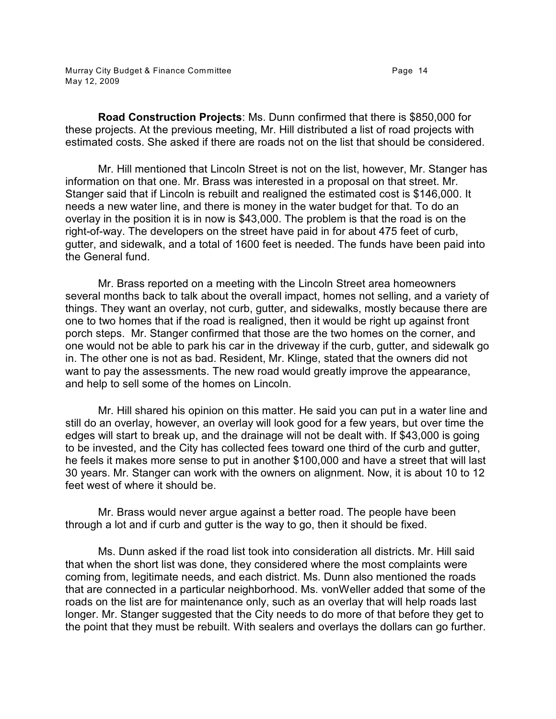**Road Construction Projects**: Ms. Dunn confirmed that there is \$850,000 for these projects. At the previous meeting, Mr. Hill distributed a list of road projects with estimated costs. She asked if there are roads not on the list that should be considered.

Mr. Hill mentioned that Lincoln Street is not on the list, however, Mr. Stanger has information on that one. Mr. Brass was interested in a proposal on that street. Mr. Stanger said that if Lincoln is rebuilt and realigned the estimated cost is \$146,000. It needs a new water line, and there is money in the water budget for that. To do an overlay in the position it is in now is \$43,000. The problem is that the road is on the right-of-way. The developers on the street have paid in for about 475 feet of curb, gutter, and sidewalk, and a total of 1600 feet is needed. The funds have been paid into the General fund.

Mr. Brass reported on a meeting with the Lincoln Street area homeowners several months back to talk about the overall impact, homes not selling, and a variety of things. They want an overlay, not curb, gutter, and sidewalks, mostly because there are one to two homes that if the road is realigned, then it would be right up against front porch steps. Mr. Stanger confirmed that those are the two homes on the corner, and one would not be able to park his car in the driveway if the curb, gutter, and sidewalk go in. The other one is not as bad. Resident, Mr. Klinge, stated that the owners did not want to pay the assessments. The new road would greatly improve the appearance, and help to sell some of the homes on Lincoln.

Mr. Hill shared his opinion on this matter. He said you can put in a water line and still do an overlay, however, an overlay will look good for a few years, but over time the edges will start to break up, and the drainage will not be dealt with. If \$43,000 is going to be invested, and the City has collected fees toward one third of the curb and gutter, he feels it makes more sense to put in another \$100,000 and have a street that will last 30 years. Mr. Stanger can work with the owners on alignment. Now, it is about 10 to 12 feet west of where it should be.

Mr. Brass would never argue against a better road. The people have been through a lot and if curb and gutter is the way to go, then it should be fixed.

Ms. Dunn asked if the road list took into consideration all districts. Mr. Hill said that when the short list was done, they considered where the most complaints were coming from, legitimate needs, and each district. Ms. Dunn also mentioned the roads that are connected in a particular neighborhood. Ms. vonWeller added that some of the roads on the list are for maintenance only, such as an overlay that will help roads last longer. Mr. Stanger suggested that the City needs to do more of that before they get to the point that they must be rebuilt. With sealers and overlays the dollars can go further.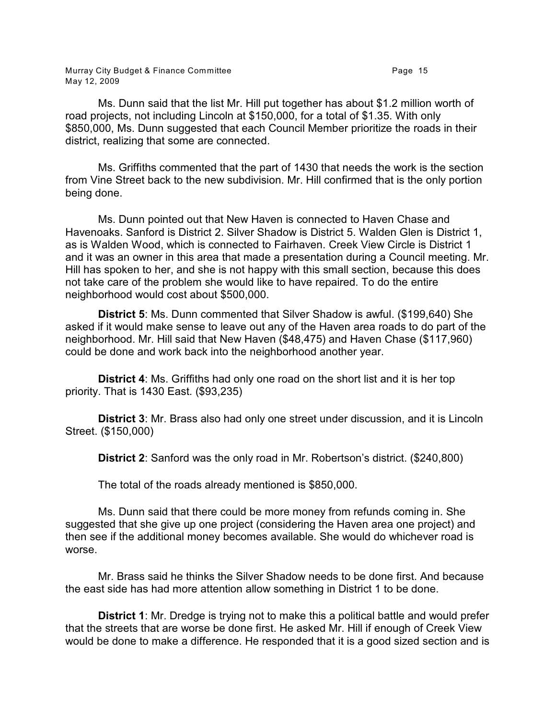Murray City Budget & Finance Committee **Page 15** Page 15 May 12, 2009

Ms. Dunn said that the list Mr. Hill put together has about \$1.2 million worth of road projects, not including Lincoln at \$150,000, for a total of \$1.35. With only \$850,000, Ms. Dunn suggested that each Council Member prioritize the roads in their district, realizing that some are connected.

Ms. Griffiths commented that the part of 1430 that needs the work is the section from Vine Street back to the new subdivision. Mr. Hill confirmed that is the only portion being done.

Ms. Dunn pointed out that New Haven is connected to Haven Chase and Havenoaks. Sanford is District 2. Silver Shadow is District 5. Walden Glen is District 1, as is Walden Wood, which is connected to Fairhaven. Creek View Circle is District 1 and it was an owner in this area that made a presentation during a Council meeting. Mr. Hill has spoken to her, and she is not happy with this small section, because this does not take care of the problem she would like to have repaired. To do the entire neighborhood would cost about \$500,000.

**District 5**: Ms. Dunn commented that Silver Shadow is awful. (\$199,640) She asked if it would make sense to leave out any of the Haven area roads to do part of the neighborhood. Mr. Hill said that New Haven (\$48,475) and Haven Chase (\$117,960) could be done and work back into the neighborhood another year.

**District 4**: Ms. Griffiths had only one road on the short list and it is her top priority. That is 1430 East. (\$93,235)

**District 3**: Mr. Brass also had only one street under discussion, and it is Lincoln Street. (\$150,000)

**District 2**: Sanford was the only road in Mr. Robertson's district. (\$240,800)

The total of the roads already mentioned is \$850,000.

Ms. Dunn said that there could be more money from refunds coming in. She suggested that she give up one project (considering the Haven area one project) and then see if the additional money becomes available. She would do whichever road is worse.

Mr. Brass said he thinks the Silver Shadow needs to be done first. And because the east side has had more attention allow something in District 1 to be done.

**District 1**: Mr. Dredge is trying not to make this a political battle and would prefer that the streets that are worse be done first. He asked Mr. Hill if enough of Creek View would be done to make a difference. He responded that it is a good sized section and is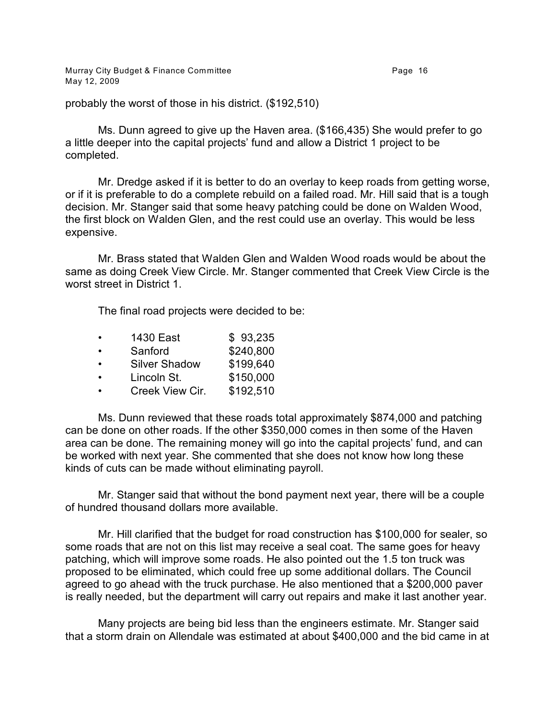Murray City Budget & Finance Committee **Page 16** Page 16 May 12, 2009

probably the worst of those in his district. (\$192,510)

Ms. Dunn agreed to give up the Haven area. (\$166,435) She would prefer to go a little deeper into the capital projects' fund and allow a District 1 project to be completed.

Mr. Dredge asked if it is better to do an overlay to keep roads from getting worse, or if it is preferable to do a complete rebuild on a failed road. Mr. Hill said that is a tough decision. Mr. Stanger said that some heavy patching could be done on Walden Wood, the first block on Walden Glen, and the rest could use an overlay. This would be less expensive.

Mr. Brass stated that Walden Glen and Walden Wood roads would be about the same as doing Creek View Circle. Mr. Stanger commented that Creek View Circle is the worst street in District 1.

The final road projects were decided to be:

|           | 1430 East            | \$93,235  |
|-----------|----------------------|-----------|
| $\bullet$ | Sanford              | \$240,800 |
| $\bullet$ | <b>Silver Shadow</b> | \$199,640 |
| $\bullet$ | Lincoln St.          | \$150,000 |
|           | Creek View Cir.      | \$192,510 |
|           |                      |           |

Ms. Dunn reviewed that these roads total approximately \$874,000 and patching can be done on other roads. If the other \$350,000 comes in then some of the Haven area can be done. The remaining money will go into the capital projects' fund, and can be worked with next year. She commented that she does not know how long these kinds of cuts can be made without eliminating payroll.

Mr. Stanger said that without the bond payment next year, there will be a couple of hundred thousand dollars more available.

Mr. Hill clarified that the budget for road construction has \$100,000 for sealer, so some roads that are not on this list may receive a seal coat. The same goes for heavy patching, which will improve some roads. He also pointed out the 1.5 ton truck was proposed to be eliminated, which could free up some additional dollars. The Council agreed to go ahead with the truck purchase. He also mentioned that a \$200,000 paver is really needed, but the department will carry out repairs and make it last another year.

Many projects are being bid less than the engineers estimate. Mr. Stanger said that a storm drain on Allendale was estimated at about \$400,000 and the bid came in at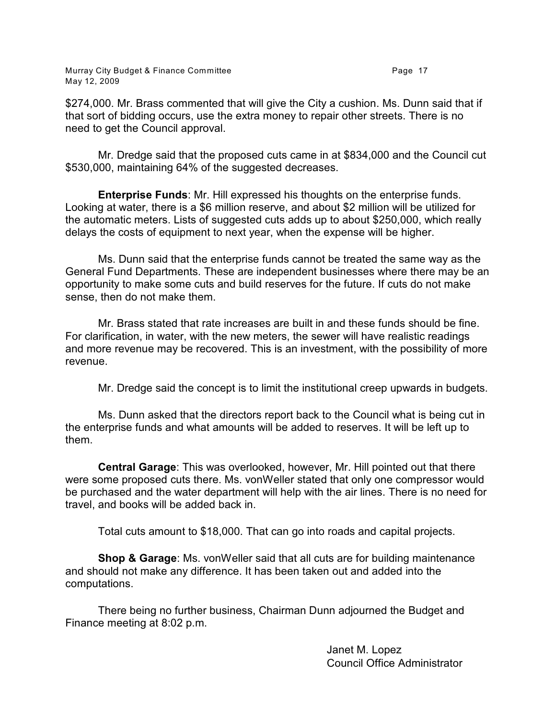Murray City Budget & Finance Committee **Page 17** Page 17 May 12, 2009

\$274,000. Mr. Brass commented that will give the City a cushion. Ms. Dunn said that if that sort of bidding occurs, use the extra money to repair other streets. There is no need to get the Council approval.

Mr. Dredge said that the proposed cuts came in at \$834,000 and the Council cut \$530,000, maintaining 64% of the suggested decreases.

**Enterprise Funds**: Mr. Hill expressed his thoughts on the enterprise funds. Looking at water, there is a \$6 million reserve, and about \$2 million will be utilized for the automatic meters. Lists of suggested cuts adds up to about \$250,000, which really delays the costs of equipment to next year, when the expense will be higher.

Ms. Dunn said that the enterprise funds cannot be treated the same way as the General Fund Departments. These are independent businesses where there may be an opportunity to make some cuts and build reserves for the future. If cuts do not make sense, then do not make them.

Mr. Brass stated that rate increases are built in and these funds should be fine. For clarification, in water, with the new meters, the sewer will have realistic readings and more revenue may be recovered. This is an investment, with the possibility of more revenue.

Mr. Dredge said the concept is to limit the institutional creep upwards in budgets.

Ms. Dunn asked that the directors report back to the Council what is being cut in the enterprise funds and what amounts will be added to reserves. It will be left up to them.

**Central Garage**: This was overlooked, however, Mr. Hill pointed out that there were some proposed cuts there. Ms. vonWeller stated that only one compressor would be purchased and the water department will help with the air lines. There is no need for travel, and books will be added back in.

Total cuts amount to \$18,000. That can go into roads and capital projects.

**Shop & Garage**: Ms. vonWeller said that all cuts are for building maintenance and should not make any difference. It has been taken out and added into the computations.

There being no further business, Chairman Dunn adjourned the Budget and Finance meeting at 8:02 p.m.

> Janet M. Lopez Council Office Administrator